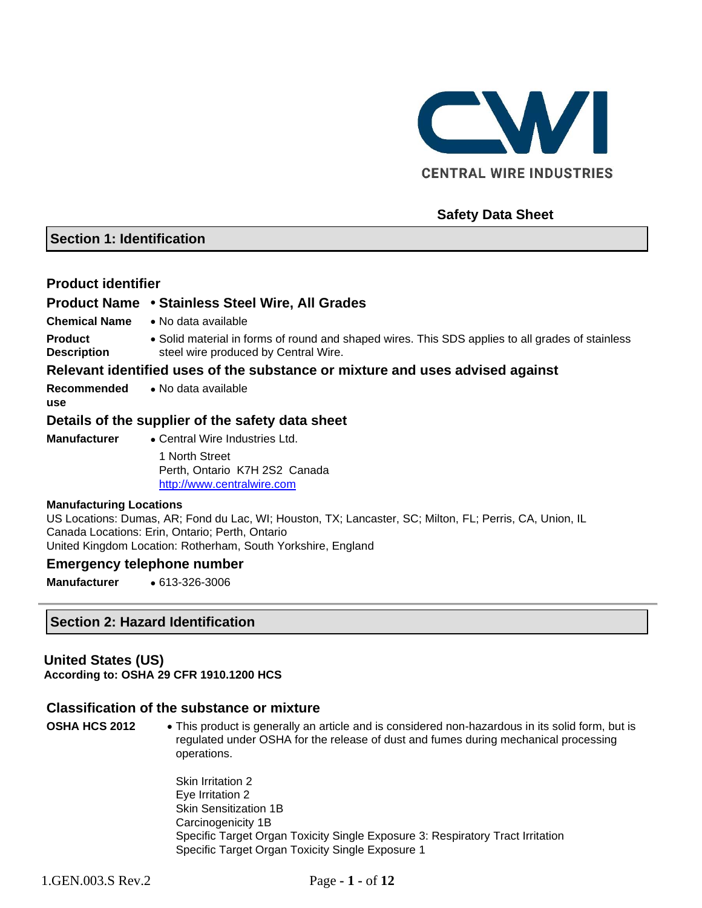

## **Safety Data Sheet**

#### **Section 1: Identification**

#### **Product identifier**

**use**

#### **Product Name** • **Stainless Steel Wire, All Grades**

- **Chemical Name** No data available
- **Product Description** • Solid material in forms of round and shaped wires. This SDS applies to all grades of stainless steel wire produced by Central Wire.

#### **Relevant identified uses of the substance or mixture and uses advised against**

**Recommended**  • No data available

## **Details of the supplier of the safety data sheet**

**Manufacturer** • Central Wire Industries Ltd. 1 North Street Perth, Ontario K7H 2S2 Canada [http://www.centralwire.com](http://www.centralwire.com/)

#### **Manufacturing Locations**

US Locations: Dumas, AR; Fond du Lac, WI; Houston, TX; Lancaster, SC; Milton, FL; Perris, CA, Union, IL Canada Locations: Erin, Ontario; Perth, Ontario United Kingdom Location: Rotherham, South Yorkshire, England

#### **Emergency telephone number**

**Manufacturer** • 613-326-3006

#### **Section 2: Hazard Identification**

#### **United States (US)**

**According to: OSHA 29 CFR 1910.1200 HCS**

#### **Classification of the substance or mixture**

**OSHA HCS 2012** • This product is generally an article and is considered non-hazardous in its solid form, but is regulated under OSHA for the release of dust and fumes during mechanical processing operations.

> Skin Irritation 2 Eye Irritation 2 Skin Sensitization 1B Carcinogenicity 1B Specific Target Organ Toxicity Single Exposure 3: Respiratory Tract Irritation Specific Target Organ Toxicity Single Exposure 1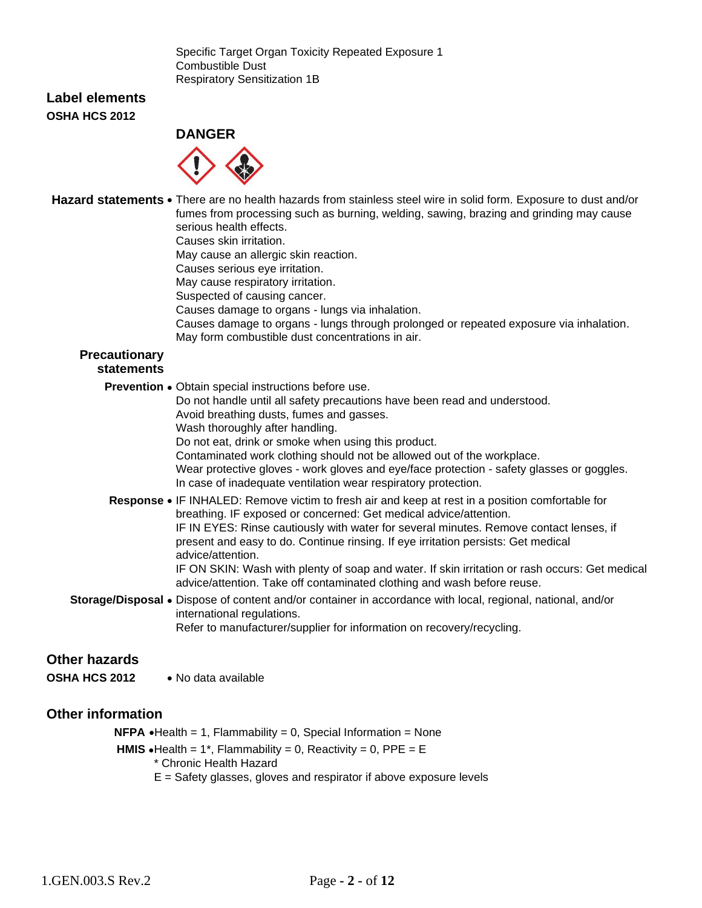Specific Target Organ Toxicity Repeated Exposure 1 Combustible Dust Respiratory Sensitization 1B

#### **Label elements OSHA HCS 2012**

## **DANGER**



**Hazard statements** • There are no health hazards from stainless steel wire in solid form. Exposure to dust and/or fumes from processing such as burning, welding, sawing, brazing and grinding may cause serious health effects. Causes skin irritation.

May cause an allergic skin reaction.

Causes serious eye irritation.

May cause respiratory irritation.

Suspected of causing cancer.

Causes damage to organs - lungs via inhalation.

Causes damage to organs - lungs through prolonged or repeated exposure via inhalation. May form combustible dust concentrations in air.

# **Precautionary**

# **statements**

**Prevention** • Obtain special instructions before use.

Do not handle until all safety precautions have been read and understood.

Avoid breathing dusts, fumes and gasses.

Wash thoroughly after handling.

Do not eat, drink or smoke when using this product.

Contaminated work clothing should not be allowed out of the workplace.

Wear protective gloves - work gloves and eye/face protection - safety glasses or goggles. In case of inadequate ventilation wear respiratory protection.

- **Response** IF INHALED: Remove victim to fresh air and keep at rest in a position comfortable for breathing. IF exposed or concerned: Get medical advice/attention. IF IN EYES: Rinse cautiously with water for several minutes. Remove contact lenses, if present and easy to do. Continue rinsing. If eye irritation persists: Get medical advice/attention. IF ON SKIN: Wash with plenty of soap and water. If skin irritation or rash occurs: Get medical advice/attention. Take off contaminated clothing and wash before reuse.
- **Storage/Disposal** Dispose of content and/or container in accordance with local, regional, national, and/or international regulations. Refer to manufacturer/supplier for information on recovery/recycling.

## **Other hazards**

**OSHA HCS 2012** • No data available

## **Other information**

**NFPA**  $\bullet$  Health = 1, Flammability = 0, Special Information = None

**HMIS**  $\bullet$  Health = 1<sup>\*</sup>, Flammability = 0, Reactivity = 0, PPE = E

\* Chronic Health Hazard

 $E =$  Safety glasses, gloves and respirator if above exposure levels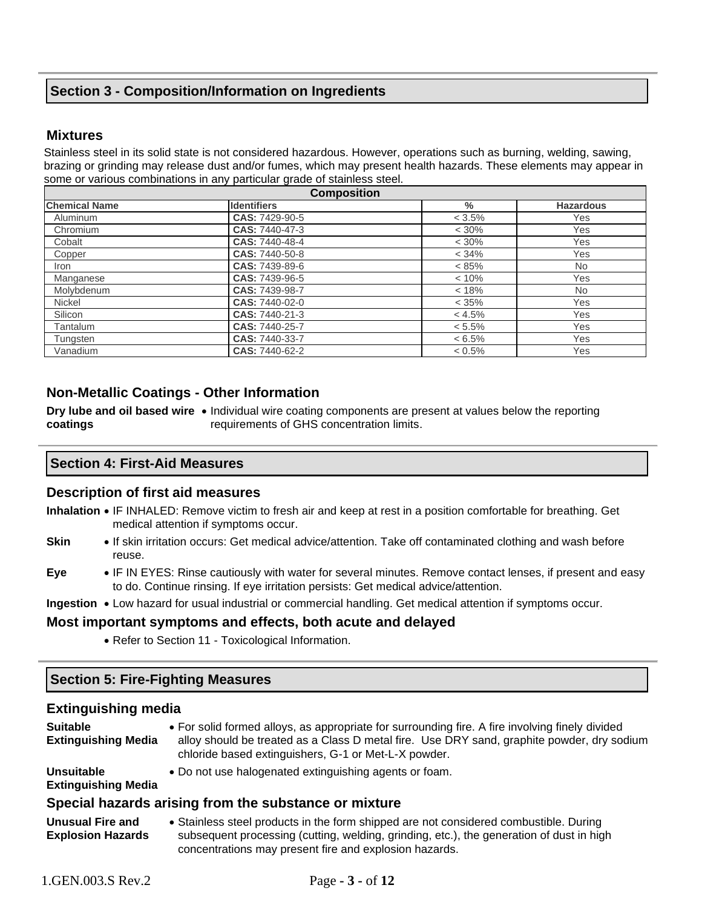# **Section 3 - Composition/Information on Ingredients**

#### **Mixtures**

Stainless steel in its solid state is not considered hazardous. However, operations such as burning, welding, sawing, brazing or grinding may release dust and/or fumes, which may present health hazards. These elements may appear in some or various combinations in any particular grade of stainless steel.

|                      | <b>Composition</b> |           |                  |  |  |
|----------------------|--------------------|-----------|------------------|--|--|
| <b>Chemical Name</b> | <b>Identifiers</b> | $\%$      | <b>Hazardous</b> |  |  |
| Aluminum             | CAS: 7429-90-5     | $< 3.5\%$ | Yes              |  |  |
| Chromium             | CAS: 7440-47-3     | $< 30\%$  | Yes              |  |  |
| Cobalt               | CAS: 7440-48-4     | $< 30\%$  | Yes              |  |  |
| Copper               | CAS: 7440-50-8     | < 34%     | <b>Yes</b>       |  |  |
| Iron                 | CAS: 7439-89-6     | $< 85\%$  | <b>No</b>        |  |  |
| Manganese            | CAS: 7439-96-5     | < 10%     | Yes              |  |  |
| Molybdenum           | CAS: 7439-98-7     | < 18%     | <b>No</b>        |  |  |
| Nickel               | CAS: 7440-02-0     | < 35%     | Yes              |  |  |
| Silicon              | CAS: 7440-21-3     | < 4.5%    | <b>Yes</b>       |  |  |
| Tantalum             | CAS: 7440-25-7     | $< 5.5\%$ | Yes              |  |  |
| Tungsten             | CAS: 7440-33-7     | $< 6.5\%$ | Yes              |  |  |
| Vanadium             | CAS: 7440-62-2     | $< 0.5\%$ | Yes              |  |  |

#### **Non-Metallic Coatings - Other Information**

**Dry lube and oil based wire •** Individual wire coating components are present at values below the reporting **coatings** requirements of GHS concentration limits.

#### **Section 4: First-Aid Measures**

#### **Description of first aid measures**

- **Inhalation** IF INHALED: Remove victim to fresh air and keep at rest in a position comfortable for breathing. Get medical attention if symptoms occur.
- **Skin** If skin irritation occurs: Get medical advice/attention. Take off contaminated clothing and wash before reuse.
- **Eye** IF IN EYES: Rinse cautiously with water for several minutes. Remove contact lenses, if present and easy to do. Continue rinsing. If eye irritation persists: Get medical advice/attention.

**Ingestion** • Low hazard for usual industrial or commercial handling. Get medical attention if symptoms occur.

#### **Most important symptoms and effects, both acute and delayed**

• Refer to Section 11 - Toxicological Information.

#### **Section 5: Fire-Fighting Measures**

#### **Extinguishing media**

| <b>Suitable</b><br><b>Extinguishing Media</b>       | • For solid formed alloys, as appropriate for surrounding fire. A fire involving finely divided<br>alloy should be treated as a Class D metal fire. Use DRY sand, graphite powder, dry sodium<br>chloride based extinguishers, G-1 or Met-L-X powder. |
|-----------------------------------------------------|-------------------------------------------------------------------------------------------------------------------------------------------------------------------------------------------------------------------------------------------------------|
| <b>Unsuitable</b><br><b>Extinguishing Media</b>     | • Do not use halogenated extinguishing agents or foam.                                                                                                                                                                                                |
|                                                     | Special hazards arising from the substance or mixture                                                                                                                                                                                                 |
| <b>Unusual Fire and</b><br><b>Explosion Hazards</b> | • Stainless steel products in the form shipped are not considered combustible. During<br>subsequent processing (cutting, welding, grinding, etc.), the generation of dust in high<br>concentrations may present fire and explosion hazards.           |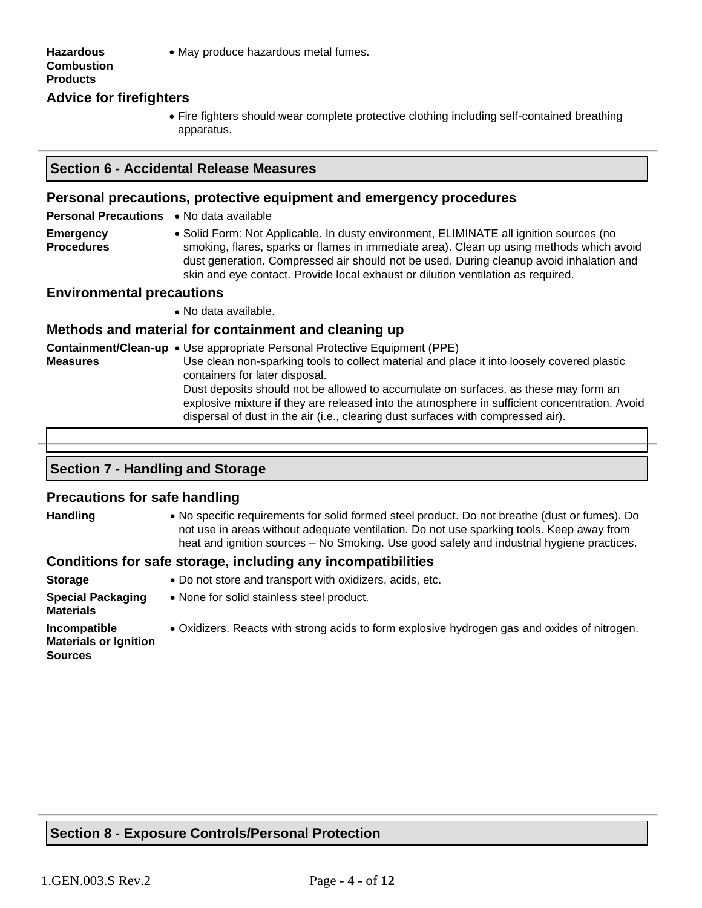#### • May produce hazardous metal fumes.

#### **Hazardous Combustion Products Advice for firefighters**

• Fire fighters should wear complete protective clothing including self-contained breathing apparatus.

#### **Section 6 - Accidental Release Measures**

#### **Personal precautions, protective equipment and emergency procedures**

**Personal Precautions** • No data available

**Emergency Procedures** • Solid Form: Not Applicable. In dusty environment, ELIMINATE all ignition sources (no smoking, flares, sparks or flames in immediate area). Clean up using methods which avoid dust generation. Compressed air should not be used. During cleanup avoid inhalation and skin and eye contact. Provide local exhaust or dilution ventilation as required.

#### **Environmental precautions**

• No data available.

#### **Methods and material for containment and cleaning up**

**Containment/Clean-up**  • Use appropriate Personal Protective Equipment (PPE) **Measures** Use clean non-sparking tools to collect material and place it into loosely covered plastic containers for later disposal. Dust deposits should not be allowed to accumulate on surfaces, as these may form an explosive mixture if they are released into the atmosphere in sufficient concentration. Avoid dispersal of dust in the air (i.e., clearing dust surfaces with compressed air).

#### **Section 7 - Handling and Storage**

#### **Precautions for safe handling**

| <b>Handling</b> | • No specific requirements for solid formed steel product. Do not breathe (dust or fumes). Do |
|-----------------|-----------------------------------------------------------------------------------------------|
|                 | not use in areas without adequate ventilation. Do not use sparking tools. Keep away from      |
|                 | heat and ignition sources – No Smoking. Use good safety and industrial hygiene practices.     |
|                 | Conditions for safo storago, including any incompatibilities                                  |

## **Conditions for safe storage, including any incompatibilities**

| <b>Storage</b>                                                 | • Do not store and transport with oxidizers, acids, etc.                                     |
|----------------------------------------------------------------|----------------------------------------------------------------------------------------------|
| <b>Special Packaging</b><br><b>Materials</b>                   | • None for solid stainless steel product.                                                    |
| Incompatible<br><b>Materials or Ignition</b><br><b>Sources</b> | • Oxidizers. Reacts with strong acids to form explosive hydrogen gas and oxides of nitrogen. |

## **Section 8 - Exposure Controls/Personal Protection**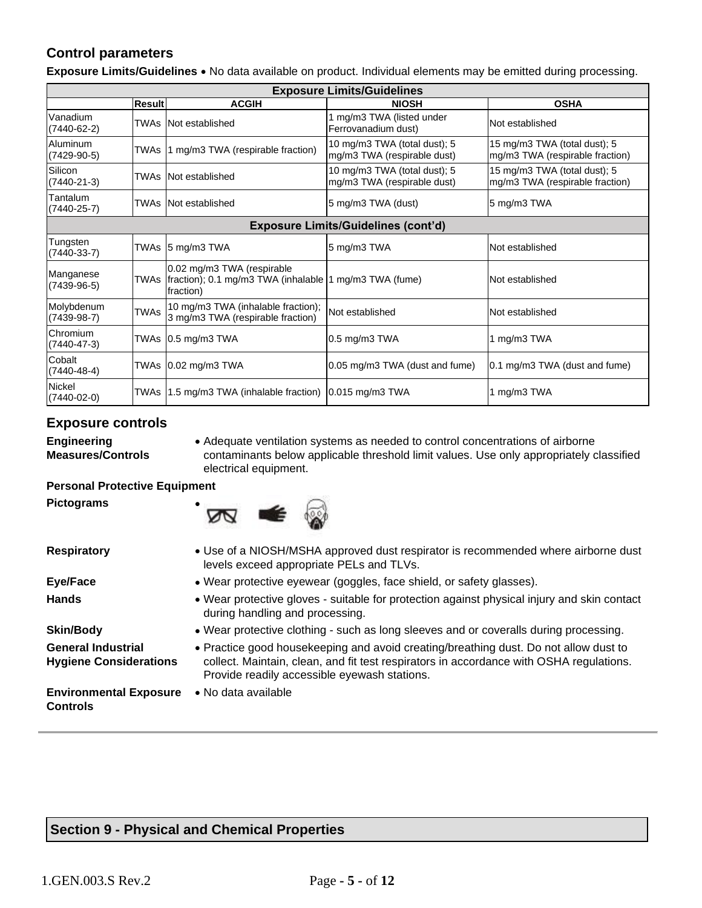# **Control parameters**

**Exposure Limits/Guidelines** • No data available on product. Individual elements may be emitted during processing.

| <b>Exposure Limits/Guidelines</b> |             |                                                                                                          |                                                             |                                                                 |  |
|-----------------------------------|-------------|----------------------------------------------------------------------------------------------------------|-------------------------------------------------------------|-----------------------------------------------------------------|--|
|                                   | Result      | <b>ACGIH</b>                                                                                             | <b>NIOSH</b>                                                | <b>OSHA</b>                                                     |  |
| Vanadium<br>(7440-62-2)           | TWAs        | Not established                                                                                          | 1 mg/m3 TWA (listed under<br>Ferrovanadium dust)            | Not established                                                 |  |
| <b>Aluminum</b><br>$(7429-90-5)$  | TWAs        | 1 mg/m3 TWA (respirable fraction)                                                                        | 10 mg/m3 TWA (total dust); 5<br>mg/m3 TWA (respirable dust) | 15 mg/m3 TWA (total dust); 5<br>mg/m3 TWA (respirable fraction) |  |
| Silicon<br>$(7440 - 21 - 3)$      | TWAs        | Not established                                                                                          | 10 mg/m3 TWA (total dust); 5<br>mg/m3 TWA (respirable dust) | 15 mg/m3 TWA (total dust); 5<br>mg/m3 TWA (respirable fraction) |  |
| Tantalum<br>$(7440 - 25 - 7)$     |             | TWAs INot established                                                                                    | 5 mg/m3 TWA (dust)                                          | 5 mg/m3 TWA                                                     |  |
|                                   |             |                                                                                                          | <b>Exposure Limits/Guidelines (cont'd)</b>                  |                                                                 |  |
| Tungsten<br>$(7440-33-7)$         | TWAs        | $5 \text{ mg/m}$ 3 TWA                                                                                   | 5 mg/m3 TWA                                                 | Not established                                                 |  |
| Manganese<br>$(7439-96-5)$        |             | 0.02 mg/m3 TWA (respirable<br>TWAs  fraction); 0.1 mg/m3 TWA (inhalable  1 mg/m3 TWA (fume)<br>fraction) |                                                             | Not established                                                 |  |
| Molybdenum<br>$(7439-98-7)$       | <b>TWAs</b> | 10 mg/m3 TWA (inhalable fraction);<br>3 mg/m3 TWA (respirable fraction)                                  | Not established                                             | Not established                                                 |  |
| Chromium<br>$(7440 - 47 - 3)$     |             | TWAs 0.5 mg/m3 TWA                                                                                       | $0.5$ mg/m $3$ TWA                                          | 1 mg/m3 TWA                                                     |  |
| Cobalt<br>$(7440 - 48 - 4)$       |             | TWAs 0.02 mg/m3 TWA                                                                                      | 0.05 mg/m3 TWA (dust and fume)                              | 0.1 mg/m3 TWA (dust and fume)                                   |  |
| <b>Nickel</b><br>$(7440-02-0)$    | TWAs        | 1.5 mg/m3 TWA (inhalable fraction) 0.015 mg/m3 TWA                                                       |                                                             | 1 mg/m3 TWA                                                     |  |

#### **Exposure controls**

**Engineering Measures/Controls**

**Pictograms** •

• Adequate ventilation systems as needed to control concentrations of airborne contaminants below applicable threshold limit values. Use only appropriately classified electrical equipment.

#### **Personal Protective Equipment**



| <b>Respiratory</b>                                         | • Use of a NIOSH/MSHA approved dust respirator is recommended where airborne dust<br>levels exceed appropriate PELs and TLVs.                                                                                                   |
|------------------------------------------------------------|---------------------------------------------------------------------------------------------------------------------------------------------------------------------------------------------------------------------------------|
| Eye/Face                                                   | • Wear protective eyewear (goggles, face shield, or safety glasses).                                                                                                                                                            |
| <b>Hands</b>                                               | . Wear protective gloves - suitable for protection against physical injury and skin contact<br>during handling and processing.                                                                                                  |
| <b>Skin/Body</b>                                           | • Wear protective clothing - such as long sleeves and or coveralls during processing.                                                                                                                                           |
| <b>General Industrial</b><br><b>Hygiene Considerations</b> | • Practice good housekeeping and avoid creating/breathing dust. Do not allow dust to<br>collect. Maintain, clean, and fit test respirators in accordance with OSHA regulations.<br>Provide readily accessible eyewash stations. |
| <b>Environmental Exposure</b><br>Controls                  | • No data available                                                                                                                                                                                                             |

# **Section 9 - Physical and Chemical Properties**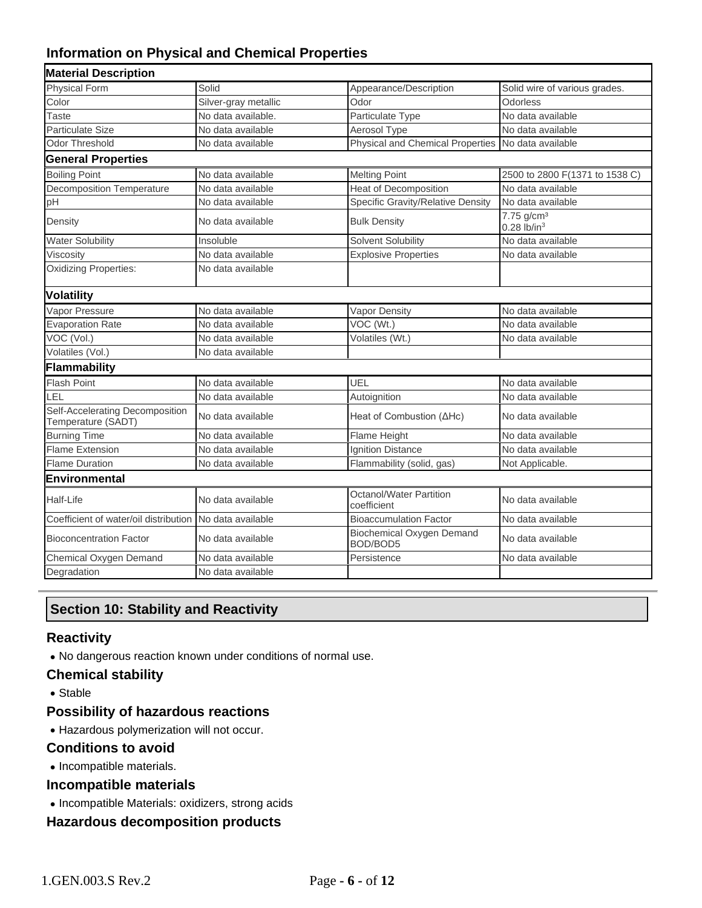# **Information on Physical and Chemical Properties**

| <b>Material Description</b>                           |                      |                                              |                                                     |
|-------------------------------------------------------|----------------------|----------------------------------------------|-----------------------------------------------------|
| <b>Physical Form</b>                                  | Solid                | Appearance/Description                       | Solid wire of various grades.                       |
| Color                                                 | Silver-gray metallic | Odor                                         | Odorless                                            |
| <b>Taste</b>                                          | No data available.   | Particulate Type                             | No data available                                   |
| Particulate Size                                      | No data available    | Aerosol Type                                 | No data available                                   |
| Odor Threshold                                        | No data available    | Physical and Chemical Properties             | No data available                                   |
| <b>General Properties</b>                             |                      |                                              |                                                     |
| <b>Boiling Point</b>                                  | No data available    | <b>Melting Point</b>                         | 2500 to 2800 F(1371 to 1538 C)                      |
| <b>Decomposition Temperature</b>                      | No data available    | <b>Heat of Decomposition</b>                 | No data available                                   |
| pH                                                    | No data available    | Specific Gravity/Relative Density            | No data available                                   |
| Density                                               | No data available    | <b>Bulk Density</b>                          | 7.75 g/cm <sup>3</sup><br>$0.28$ lb/in <sup>3</sup> |
| <b>Water Solubility</b>                               | Insoluble            | Solvent Solubility                           | No data available                                   |
| Viscosity                                             | No data available    | <b>Explosive Properties</b>                  | No data available                                   |
| Oxidizing Properties:                                 | No data available    |                                              |                                                     |
| <b>Volatility</b>                                     |                      |                                              |                                                     |
| Vapor Pressure                                        | No data available    | Vapor Density                                | No data available                                   |
| <b>Evaporation Rate</b>                               | No data available    | VOC (Wt.)                                    | No data available                                   |
| VOC (Vol.)                                            | No data available    | Volatiles (Wt.)                              | No data available                                   |
| Volatiles (Vol.)                                      | No data available    |                                              |                                                     |
| Flammability                                          |                      |                                              |                                                     |
| Flash Point                                           | No data available    | UEL                                          | No data available                                   |
| LEL                                                   | No data available    | Autoignition                                 | No data available                                   |
| Self-Accelerating Decomposition<br>Temperature (SADT) | No data available    | Heat of Combustion (AHc)                     | No data available                                   |
| <b>Burning Time</b>                                   | No data available    | Flame Height                                 | No data available                                   |
| <b>Flame Extension</b>                                | No data available    | <b>Ignition Distance</b>                     | No data available                                   |
| <b>Flame Duration</b>                                 | No data available    | Flammability (solid, gas)                    | Not Applicable.                                     |
| Environmental                                         |                      |                                              |                                                     |
| Half-Life                                             | No data available    | Octanol/Water Partition<br>coefficient       | No data available                                   |
| Coefficient of water/oil distribution                 | No data available    | <b>Bioaccumulation Factor</b>                | No data available                                   |
| <b>Bioconcentration Factor</b>                        | No data available    | <b>Biochemical Oxygen Demand</b><br>BOD/BOD5 | No data available                                   |
| Chemical Oxygen Demand                                | No data available    | Persistence                                  | No data available                                   |
| Degradation                                           | No data available    |                                              |                                                     |
|                                                       |                      |                                              |                                                     |

# **Section 10: Stability and Reactivity**

## **Reactivity**

• No dangerous reaction known under conditions of normal use.

## **Chemical stability**

• Stable

# **Possibility of hazardous reactions**

• Hazardous polymerization will not occur.

#### **Conditions to avoid**

• Incompatible materials.

#### **Incompatible materials**

• Incompatible Materials: oxidizers, strong acids

#### **Hazardous decomposition products**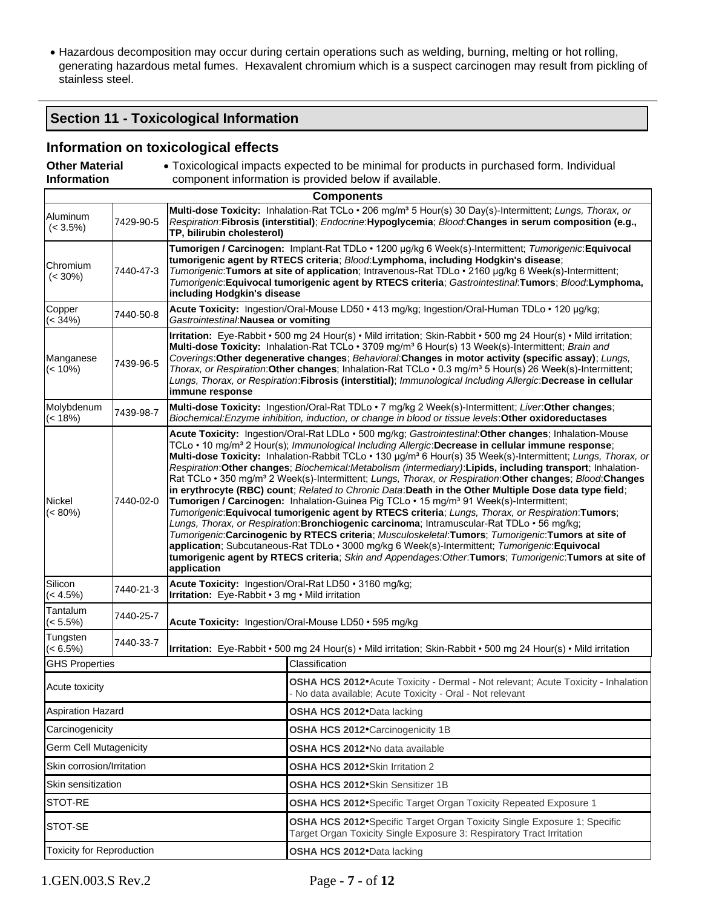• Hazardous decomposition may occur during certain operations such as welding, burning, melting or hot rolling, generating hazardous metal fumes. Hexavalent chromium which is a suspect carcinogen may result from pickling of stainless steel.

## **Section 11 - Toxicological Information**

## **Information on toxicological effects**

| <b>Other Material</b><br>• Toxicological impacts expected to be minimal for products in purchased form. Individual<br><b>Information</b><br>component information is provided below if available. |           |                                                                                                                                                                                                                                                                                                                                                                                                                                                                                                                                                                                                                                                                                                                                                                                                                                                                                                                                                                                                                                                                                                                                                                                                                                                                                                                                                    |                                                                                                                                                                                                               |  |
|---------------------------------------------------------------------------------------------------------------------------------------------------------------------------------------------------|-----------|----------------------------------------------------------------------------------------------------------------------------------------------------------------------------------------------------------------------------------------------------------------------------------------------------------------------------------------------------------------------------------------------------------------------------------------------------------------------------------------------------------------------------------------------------------------------------------------------------------------------------------------------------------------------------------------------------------------------------------------------------------------------------------------------------------------------------------------------------------------------------------------------------------------------------------------------------------------------------------------------------------------------------------------------------------------------------------------------------------------------------------------------------------------------------------------------------------------------------------------------------------------------------------------------------------------------------------------------------|---------------------------------------------------------------------------------------------------------------------------------------------------------------------------------------------------------------|--|
|                                                                                                                                                                                                   |           |                                                                                                                                                                                                                                                                                                                                                                                                                                                                                                                                                                                                                                                                                                                                                                                                                                                                                                                                                                                                                                                                                                                                                                                                                                                                                                                                                    | <b>Components</b>                                                                                                                                                                                             |  |
| Aluminum<br>$(< 3.5\%)$                                                                                                                                                                           | 7429-90-5 | Multi-dose Toxicity: Inhalation-Rat TCLo · 206 mg/m <sup>3</sup> 5 Hour(s) 30 Day(s)-Intermittent; Lungs, Thorax, or<br>Respiration:Fibrosis (interstitial); Endocrine:Hypoglycemia; Blood:Changes in serum composition (e.g.,<br>TP, bilirubin cholesterol)                                                                                                                                                                                                                                                                                                                                                                                                                                                                                                                                                                                                                                                                                                                                                                                                                                                                                                                                                                                                                                                                                       |                                                                                                                                                                                                               |  |
| Chromium<br>$(< 30\%)$                                                                                                                                                                            | 7440-47-3 | Tumorigen / Carcinogen: Implant-Rat TDLo · 1200 µg/kg 6 Week(s)-Intermittent; Tumorigenic: Equivocal<br>tumorigenic agent by RTECS criteria; Blood:Lymphoma, including Hodgkin's disease;<br>Tumorigenic: Tumors at site of application; Intravenous-Rat TDLo · 2160 µg/kg 6 Week(s)-Intermittent;<br>Tumorigenic: Equivocal tumorigenic agent by RTECS criteria; Gastrointestinal: Tumors; Blood: Lymphoma,<br>including Hodgkin's disease                                                                                                                                                                                                                                                                                                                                                                                                                                                                                                                                                                                                                                                                                                                                                                                                                                                                                                        |                                                                                                                                                                                                               |  |
| Copper<br>$(< 34\%)$                                                                                                                                                                              | 7440-50-8 | Gastrointestinal: Nausea or vomiting                                                                                                                                                                                                                                                                                                                                                                                                                                                                                                                                                                                                                                                                                                                                                                                                                                                                                                                                                                                                                                                                                                                                                                                                                                                                                                               | Acute Toxicity: Ingestion/Oral-Mouse LD50 · 413 mg/kg; Ingestion/Oral-Human TDLo · 120 µg/kg;                                                                                                                 |  |
| Manganese<br>$(< 10\%)$                                                                                                                                                                           | 7439-96-5 | Irritation: Eye-Rabbit · 500 mg 24 Hour(s) · Mild irritation; Skin-Rabbit · 500 mg 24 Hour(s) · Mild irritation;<br>Multi-dose Toxicity: Inhalation-Rat TCLo · 3709 mg/m <sup>3</sup> 6 Hour(s) 13 Week(s)-Intermittent; Brain and<br>Coverings: Other degenerative changes; Behavioral: Changes in motor activity (specific assay); Lungs,<br>Thorax, or Respiration: Other changes; Inhalation-Rat TCLo . 0.3 mg/m <sup>3</sup> 5 Hour(s) 26 Week(s)-Intermittent;<br>Lungs, Thorax, or Respiration: Fibrosis (interstitial); Immunological Including Allergic: Decrease in cellular<br>immune response                                                                                                                                                                                                                                                                                                                                                                                                                                                                                                                                                                                                                                                                                                                                          |                                                                                                                                                                                                               |  |
| Molybdenum<br>$(< 18\%)$                                                                                                                                                                          | 7439-98-7 |                                                                                                                                                                                                                                                                                                                                                                                                                                                                                                                                                                                                                                                                                                                                                                                                                                                                                                                                                                                                                                                                                                                                                                                                                                                                                                                                                    | Multi-dose Toxicity: Ingestion/Oral-Rat TDLo · 7 mg/kg 2 Week(s)-Intermittent; Liver: Other changes;<br>Biochemical: Enzyme inhibition, induction, or change in blood or tissue levels: Other oxidoreductases |  |
| Nickel<br>$(< 80\%)$                                                                                                                                                                              | 7440-02-0 | Acute Toxicity: Ingestion/Oral-Rat LDLo · 500 mg/kg; Gastrointestinal: Other changes; Inhalation-Mouse<br>TCLo . 10 mg/m <sup>3</sup> 2 Hour(s); Immunological Including Allergic: Decrease in cellular immune response;<br>Multi-dose Toxicity: Inhalation-Rabbit TCLo • 130 µg/m <sup>3</sup> 6 Hour(s) 35 Week(s)-Intermittent; Lungs, Thorax, or<br>Respiration: Other changes; Biochemical: Metabolism (intermediary): Lipids, including transport; Inhalation-<br>Rat TCLo · 350 mg/m <sup>3</sup> 2 Week(s)-Intermittent; Lungs, Thorax, or Respiration: Other changes; Blood: Changes<br>in erythrocyte (RBC) count; Related to Chronic Data: Death in the Other Multiple Dose data type field;<br>Tumorigen / Carcinogen: Inhalation-Guinea Pig TCLo · 15 mg/m <sup>3</sup> 91 Week(s)-Intermittent;<br>Tumorigenic: Equivocal tumorigenic agent by RTECS criteria; Lungs, Thorax, or Respiration: Tumors;<br>Lungs, Thorax, or Respiration: Bronchiogenic carcinoma; Intramuscular-Rat TDLo . 56 mg/kg;<br>Tumorigenic: Carcinogenic by RTECS criteria; Musculoskeletal: Tumors; Tumorigenic: Tumors at site of<br>application; Subcutaneous-Rat TDLo · 3000 mg/kg 6 Week(s)-Intermittent; Tumorigenic: Equivocal<br>tumorigenic agent by RTECS criteria; Skin and Appendages:Other:Tumors; Tumorigenic:Tumors at site of<br>application |                                                                                                                                                                                                               |  |
| Silicon<br>$(< 4.5\%)$                                                                                                                                                                            | 7440-21-3 | Irritation: Eye-Rabbit • 3 mg • Mild irritation                                                                                                                                                                                                                                                                                                                                                                                                                                                                                                                                                                                                                                                                                                                                                                                                                                                                                                                                                                                                                                                                                                                                                                                                                                                                                                    | Acute Toxicity: Ingestion/Oral-Rat LD50 · 3160 mg/kg;                                                                                                                                                         |  |
| Tantalum<br>$(< 5.5\%)$                                                                                                                                                                           | 7440-25-7 |                                                                                                                                                                                                                                                                                                                                                                                                                                                                                                                                                                                                                                                                                                                                                                                                                                                                                                                                                                                                                                                                                                                                                                                                                                                                                                                                                    | Acute Toxicity: Ingestion/Oral-Mouse LD50 · 595 mg/kg                                                                                                                                                         |  |
| Tungsten<br>$(< 6.5\%)$                                                                                                                                                                           | 7440-33-7 |                                                                                                                                                                                                                                                                                                                                                                                                                                                                                                                                                                                                                                                                                                                                                                                                                                                                                                                                                                                                                                                                                                                                                                                                                                                                                                                                                    | Irritation: Eye-Rabbit • 500 mg 24 Hour(s) • Mild irritation; Skin-Rabbit • 500 mg 24 Hour(s) • Mild irritation                                                                                               |  |
| <b>GHS Properties</b>                                                                                                                                                                             |           |                                                                                                                                                                                                                                                                                                                                                                                                                                                                                                                                                                                                                                                                                                                                                                                                                                                                                                                                                                                                                                                                                                                                                                                                                                                                                                                                                    | Classification                                                                                                                                                                                                |  |
| Acute toxicity                                                                                                                                                                                    |           |                                                                                                                                                                                                                                                                                                                                                                                                                                                                                                                                                                                                                                                                                                                                                                                                                                                                                                                                                                                                                                                                                                                                                                                                                                                                                                                                                    | OSHA HCS 2012 Acute Toxicity - Dermal - Not relevant; Acute Toxicity - Inhalation<br>- No data available; Acute Toxicity - Oral - Not relevant                                                                |  |
| <b>Aspiration Hazard</b>                                                                                                                                                                          |           |                                                                                                                                                                                                                                                                                                                                                                                                                                                                                                                                                                                                                                                                                                                                                                                                                                                                                                                                                                                                                                                                                                                                                                                                                                                                                                                                                    | OSHA HCS 2012. Data lacking                                                                                                                                                                                   |  |
| Carcinogenicity                                                                                                                                                                                   |           |                                                                                                                                                                                                                                                                                                                                                                                                                                                                                                                                                                                                                                                                                                                                                                                                                                                                                                                                                                                                                                                                                                                                                                                                                                                                                                                                                    | <b>OSHA HCS 2012</b> Carcinogenicity 1B                                                                                                                                                                       |  |
| <b>Germ Cell Mutagenicity</b>                                                                                                                                                                     |           |                                                                                                                                                                                                                                                                                                                                                                                                                                                                                                                                                                                                                                                                                                                                                                                                                                                                                                                                                                                                                                                                                                                                                                                                                                                                                                                                                    | OSHA HCS 2012 <sup>•</sup> No data available                                                                                                                                                                  |  |
| Skin corrosion/Irritation                                                                                                                                                                         |           |                                                                                                                                                                                                                                                                                                                                                                                                                                                                                                                                                                                                                                                                                                                                                                                                                                                                                                                                                                                                                                                                                                                                                                                                                                                                                                                                                    | OSHA HCS 2012•Skin Irritation 2                                                                                                                                                                               |  |
| Skin sensitization                                                                                                                                                                                |           |                                                                                                                                                                                                                                                                                                                                                                                                                                                                                                                                                                                                                                                                                                                                                                                                                                                                                                                                                                                                                                                                                                                                                                                                                                                                                                                                                    | OSHA HCS 2012. Skin Sensitizer 1B                                                                                                                                                                             |  |
| STOT-RE                                                                                                                                                                                           |           |                                                                                                                                                                                                                                                                                                                                                                                                                                                                                                                                                                                                                                                                                                                                                                                                                                                                                                                                                                                                                                                                                                                                                                                                                                                                                                                                                    | OSHA HCS 2012 Specific Target Organ Toxicity Repeated Exposure 1                                                                                                                                              |  |
| STOT-SE                                                                                                                                                                                           |           |                                                                                                                                                                                                                                                                                                                                                                                                                                                                                                                                                                                                                                                                                                                                                                                                                                                                                                                                                                                                                                                                                                                                                                                                                                                                                                                                                    | OSHA HCS 2012• Specific Target Organ Toxicity Single Exposure 1; Specific<br>Target Organ Toxicity Single Exposure 3: Respiratory Tract Irritation                                                            |  |
| <b>Toxicity for Reproduction</b>                                                                                                                                                                  |           |                                                                                                                                                                                                                                                                                                                                                                                                                                                                                                                                                                                                                                                                                                                                                                                                                                                                                                                                                                                                                                                                                                                                                                                                                                                                                                                                                    | OSHA HCS 2012. Data lacking                                                                                                                                                                                   |  |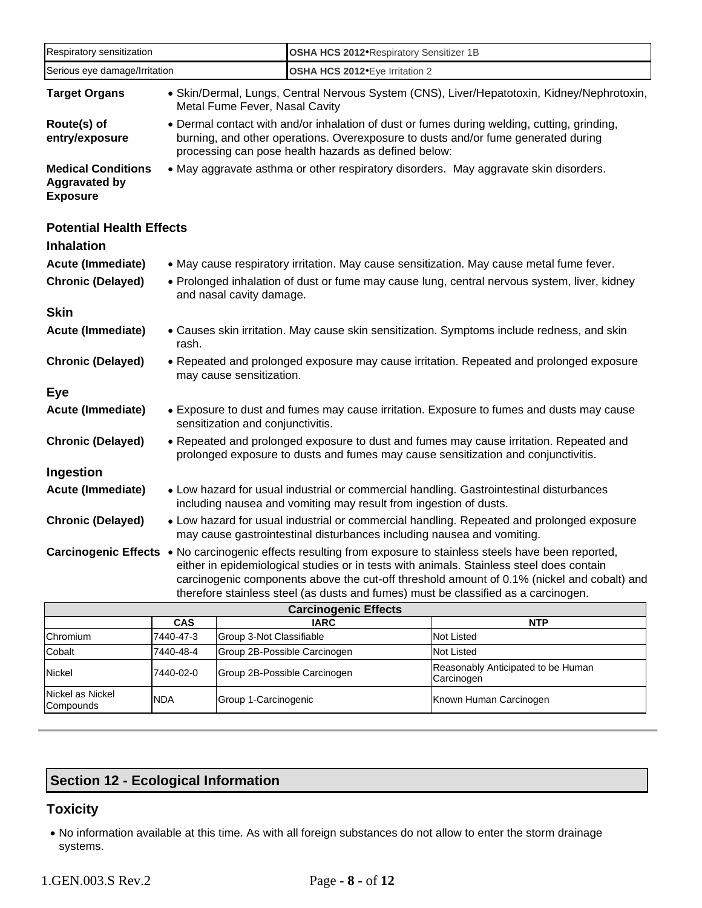| Respiratory sensitization                                                                                                                                                                                                                                                                                                                                                                      |                                                                                                                                                                     | OSHA HCS 2012 Respiratory Sensitizer 1B                                                                                                                                                                                                  |                             |                                                                                              |  |
|------------------------------------------------------------------------------------------------------------------------------------------------------------------------------------------------------------------------------------------------------------------------------------------------------------------------------------------------------------------------------------------------|---------------------------------------------------------------------------------------------------------------------------------------------------------------------|------------------------------------------------------------------------------------------------------------------------------------------------------------------------------------------------------------------------------------------|-----------------------------|----------------------------------------------------------------------------------------------|--|
| Serious eye damage/Irritation                                                                                                                                                                                                                                                                                                                                                                  |                                                                                                                                                                     | OSHA HCS 2012. Eye Irritation 2                                                                                                                                                                                                          |                             |                                                                                              |  |
| <b>Target Organs</b>                                                                                                                                                                                                                                                                                                                                                                           |                                                                                                                                                                     | • Skin/Dermal, Lungs, Central Nervous System (CNS), Liver/Hepatotoxin, Kidney/Nephrotoxin,<br>Metal Fume Fever, Nasal Cavity                                                                                                             |                             |                                                                                              |  |
| Route(s) of<br>entry/exposure                                                                                                                                                                                                                                                                                                                                                                  |                                                                                                                                                                     | • Dermal contact with and/or inhalation of dust or fumes during welding, cutting, grinding,<br>burning, and other operations. Overexposure to dusts and/or fume generated during<br>processing can pose health hazards as defined below: |                             |                                                                                              |  |
| <b>Medical Conditions</b><br><b>Aggravated by</b><br><b>Exposure</b>                                                                                                                                                                                                                                                                                                                           |                                                                                                                                                                     | • May aggravate asthma or other respiratory disorders. May aggravate skin disorders.                                                                                                                                                     |                             |                                                                                              |  |
| <b>Potential Health Effects</b><br><b>Inhalation</b>                                                                                                                                                                                                                                                                                                                                           |                                                                                                                                                                     |                                                                                                                                                                                                                                          |                             |                                                                                              |  |
| <b>Acute (Immediate)</b>                                                                                                                                                                                                                                                                                                                                                                       |                                                                                                                                                                     |                                                                                                                                                                                                                                          |                             | • May cause respiratory irritation. May cause sensitization. May cause metal fume fever.     |  |
| <b>Chronic (Delayed)</b>                                                                                                                                                                                                                                                                                                                                                                       |                                                                                                                                                                     | and nasal cavity damage.                                                                                                                                                                                                                 |                             | • Prolonged inhalation of dust or fume may cause lung, central nervous system, liver, kidney |  |
| <b>Skin</b>                                                                                                                                                                                                                                                                                                                                                                                    |                                                                                                                                                                     |                                                                                                                                                                                                                                          |                             |                                                                                              |  |
| <b>Acute (Immediate)</b>                                                                                                                                                                                                                                                                                                                                                                       | rash.                                                                                                                                                               | • Causes skin irritation. May cause skin sensitization. Symptoms include redness, and skin                                                                                                                                               |                             |                                                                                              |  |
| <b>Chronic (Delayed)</b>                                                                                                                                                                                                                                                                                                                                                                       |                                                                                                                                                                     | • Repeated and prolonged exposure may cause irritation. Repeated and prolonged exposure<br>may cause sensitization.                                                                                                                      |                             |                                                                                              |  |
| <b>Eye</b>                                                                                                                                                                                                                                                                                                                                                                                     |                                                                                                                                                                     |                                                                                                                                                                                                                                          |                             |                                                                                              |  |
| <b>Acute (Immediate)</b>                                                                                                                                                                                                                                                                                                                                                                       |                                                                                                                                                                     | • Exposure to dust and fumes may cause irritation. Exposure to fumes and dusts may cause<br>sensitization and conjunctivitis.                                                                                                            |                             |                                                                                              |  |
| <b>Chronic (Delayed)</b>                                                                                                                                                                                                                                                                                                                                                                       |                                                                                                                                                                     | • Repeated and prolonged exposure to dust and fumes may cause irritation. Repeated and<br>prolonged exposure to dusts and fumes may cause sensitization and conjunctivitis.                                                              |                             |                                                                                              |  |
| Ingestion                                                                                                                                                                                                                                                                                                                                                                                      |                                                                                                                                                                     |                                                                                                                                                                                                                                          |                             |                                                                                              |  |
| <b>Acute (Immediate)</b>                                                                                                                                                                                                                                                                                                                                                                       | • Low hazard for usual industrial or commercial handling. Gastrointestinal disturbances<br>including nausea and vomiting may result from ingestion of dusts.        |                                                                                                                                                                                                                                          |                             |                                                                                              |  |
| <b>Chronic (Delayed)</b>                                                                                                                                                                                                                                                                                                                                                                       | • Low hazard for usual industrial or commercial handling. Repeated and prolonged exposure<br>may cause gastrointestinal disturbances including nausea and vomiting. |                                                                                                                                                                                                                                          |                             |                                                                                              |  |
| Carcinogenic Effects . No carcinogenic effects resulting from exposure to stainless steels have been reported,<br>either in epidemiological studies or in tests with animals. Stainless steel does contain<br>carcinogenic components above the cut-off threshold amount of 0.1% (nickel and cobalt) and<br>therefore stainless steel (as dusts and fumes) must be classified as a carcinogen. |                                                                                                                                                                     |                                                                                                                                                                                                                                          |                             |                                                                                              |  |
|                                                                                                                                                                                                                                                                                                                                                                                                |                                                                                                                                                                     |                                                                                                                                                                                                                                          | <b>Carcinogenic Effects</b> |                                                                                              |  |
| Chromium                                                                                                                                                                                                                                                                                                                                                                                       | <b>CAS</b><br>7440-47-3                                                                                                                                             | Group 3-Not Classifiable                                                                                                                                                                                                                 | <b>IARC</b>                 | <b>NTP</b><br>Not Listed                                                                     |  |
| Cobalt                                                                                                                                                                                                                                                                                                                                                                                         | 7440-48-4                                                                                                                                                           | Group 2B-Possible Carcinogen                                                                                                                                                                                                             |                             | Not Listed                                                                                   |  |
| Nickel                                                                                                                                                                                                                                                                                                                                                                                         | 7440-02-0                                                                                                                                                           | Group 2B-Possible Carcinogen                                                                                                                                                                                                             |                             | Reasonably Anticipated to be Human<br>Carcinogen                                             |  |
| Nickel as Nickel<br>Compounds                                                                                                                                                                                                                                                                                                                                                                  | NDA                                                                                                                                                                 | Group 1-Carcinogenic                                                                                                                                                                                                                     |                             | Known Human Carcinogen                                                                       |  |

# **Section 12 - Ecological Information**

# **Toxicity**

• No information available at this time. As with all foreign substances do not allow to enter the storm drainage systems.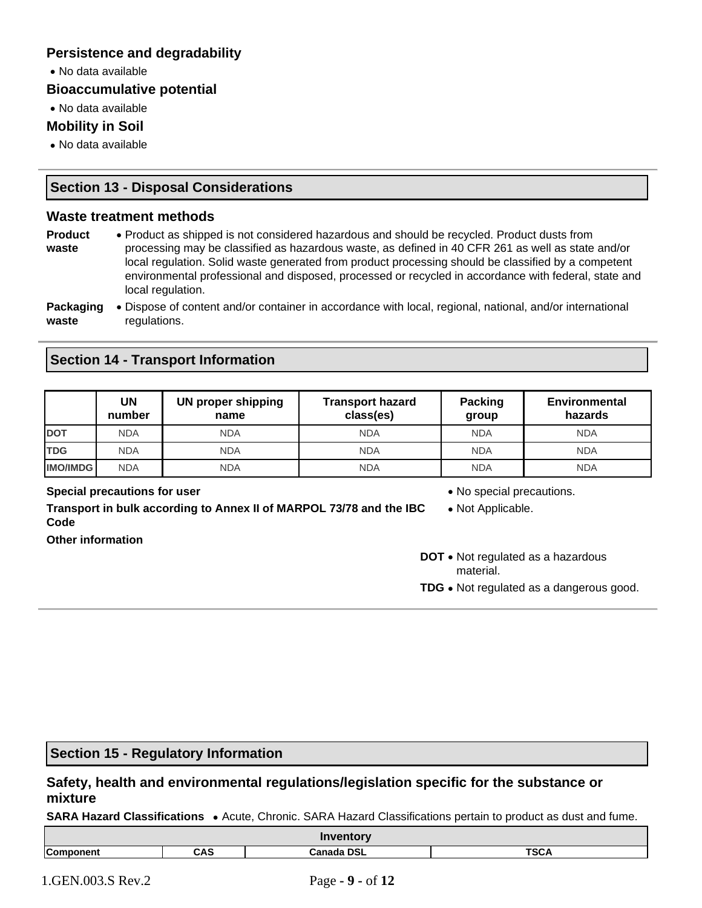## **Persistence and degradability**

• No data available

#### **Bioaccumulative potential**

• No data available

## **Mobility in Soil**

• No data available

## **Section 13 - Disposal Considerations**

#### **Waste treatment methods**

| <b>Product</b>   | • Product as shipped is not considered hazardous and should be recycled. Product dusts from                               |
|------------------|---------------------------------------------------------------------------------------------------------------------------|
| waste            | processing may be classified as hazardous waste, as defined in 40 CFR 261 as well as state and/or                         |
|                  | local regulation. Solid waste generated from product processing should be classified by a competent                       |
|                  | environmental professional and disposed, processed or recycled in accordance with federal, state and<br>local regulation. |
| <b>Packaging</b> | <b>A</b> Dispose of content and/or container in accordance with local regional national and/or international              |

#### **Packaging waste** • Dispose of content and/or container in accordance with local, regional, national, and/or international regulations.

## **Section 14 - Transport Information**

|                 | UN<br>number | UN proper shipping<br>name | <b>Transport hazard</b><br>class(es) | <b>Packing</b><br>group | <b>Environmental</b><br>hazards |
|-----------------|--------------|----------------------------|--------------------------------------|-------------------------|---------------------------------|
| <b>DOT</b>      | <b>NDA</b>   | <b>NDA</b>                 | <b>NDA</b>                           | <b>NDA</b>              | <b>NDA</b>                      |
| <b>TDG</b>      | <b>NDA</b>   | <b>NDA</b>                 | <b>NDA</b>                           | <b>NDA</b>              | <b>NDA</b>                      |
| <b>IMO/IMDG</b> | <b>NDA</b>   | <b>NDA</b>                 | <b>NDA</b>                           | <b>NDA</b>              | <b>NDA</b>                      |

#### **Special precautions for user** *CONDER <b>SPECIAL CONDER* • No special precautions.

**Transport in bulk according to Annex II of MARPOL 73/78 and the IBC Code Other information**

- 
- Not Applicable.
- **DOT** Not regulated as a hazardous material.
- **TDG** Not regulated as a dangerous good.

# **Section 15 - Regulatory Information**

## **Safety, health and environmental regulations/legislation specific for the substance or mixture**

**SARA Hazard Classifications** • Acute, Chronic. SARA Hazard Classifications pertain to product as dust and fume.

| <b>Inventory</b>    |                                         |  |  |  |
|---------------------|-----------------------------------------|--|--|--|
| $\sim$<br>onent<br> | TCA<br>CAS<br><b>Canada DSL</b><br>ישכי |  |  |  |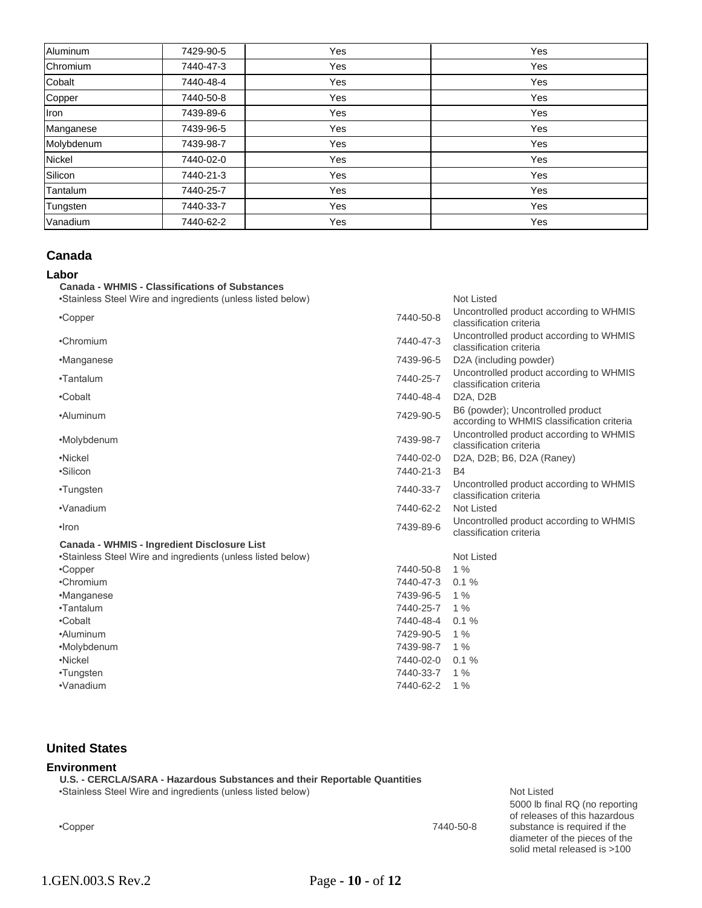| Aluminum   | 7429-90-5 | Yes | Yes |
|------------|-----------|-----|-----|
| Chromium   | 7440-47-3 | Yes | Yes |
| Cobalt     | 7440-48-4 | Yes | Yes |
| Copper     | 7440-50-8 | Yes | Yes |
| Iron       | 7439-89-6 | Yes | Yes |
| Manganese  | 7439-96-5 | Yes | Yes |
| Molybdenum | 7439-98-7 | Yes | Yes |
| Nickel     | 7440-02-0 | Yes | Yes |
| Silicon    | 7440-21-3 | Yes | Yes |
| Tantalum   | 7440-25-7 | Yes | Yes |
| Tungsten   | 7440-33-7 | Yes | Yes |
| Vanadium   | 7440-62-2 | Yes | Yes |

#### **Canada**

#### **Labor**

| adur<br><b>Canada - WHMIS - Classifications of Substances</b> |           |                                                                                 |
|---------------------------------------------------------------|-----------|---------------------------------------------------------------------------------|
| •Stainless Steel Wire and ingredients (unless listed below)   |           | <b>Not Listed</b>                                                               |
| •Copper                                                       | 7440-50-8 | Uncontrolled product according to WHMIS<br>classification criteria              |
| •Chromium                                                     | 7440-47-3 | Uncontrolled product according to WHMIS<br>classification criteria              |
| •Manganese                                                    | 7439-96-5 | D2A (including powder)                                                          |
| •Tantalum                                                     | 7440-25-7 | Uncontrolled product according to WHMIS<br>classification criteria              |
| •Cobalt                                                       | 7440-48-4 | D <sub>2</sub> A, D <sub>2</sub> B                                              |
| •Aluminum                                                     | 7429-90-5 | B6 (powder); Uncontrolled product<br>according to WHMIS classification criteria |
| •Molybdenum                                                   | 7439-98-7 | Uncontrolled product according to WHMIS<br>classification criteria              |
| •Nickel                                                       | 7440-02-0 | D2A, D2B; B6, D2A (Raney)                                                       |
| •Silicon                                                      | 7440-21-3 | <b>B4</b>                                                                       |
| •Tungsten                                                     | 7440-33-7 | Uncontrolled product according to WHMIS<br>classification criteria              |
| •Vanadium                                                     | 7440-62-2 | <b>Not Listed</b>                                                               |
| $\cdot$ Iron                                                  | 7439-89-6 | Uncontrolled product according to WHMIS<br>classification criteria              |
| Canada - WHMIS - Ingredient Disclosure List                   |           |                                                                                 |
| •Stainless Steel Wire and ingredients (unless listed below)   |           | <b>Not Listed</b>                                                               |
| •Copper                                                       | 7440-50-8 | 1%                                                                              |
| •Chromium                                                     | 7440-47-3 | 0.1%                                                                            |
| •Manganese                                                    | 7439-96-5 | 1%                                                                              |
| •Tantalum                                                     | 7440-25-7 | $1\%$                                                                           |
| •Cobalt                                                       | 7440-48-4 | 0.1%                                                                            |
| •Aluminum                                                     | 7429-90-5 | $1\%$                                                                           |
| •Molybdenum                                                   | 7439-98-7 | $1\%$                                                                           |
| •Nickel                                                       | 7440-02-0 | 0.1%                                                                            |
| •Tungsten                                                     | 7440-33-7 | $1\%$                                                                           |
| •Vanadium                                                     | 7440-62-2 | 1%                                                                              |

#### **United States**

#### **Environment**

**U.S. - CERCLA/SARA - Hazardous Substances and their Reportable Quantities** •Stainless Steel Wire and ingredients (unless listed below) variable and the Not Listed

•Copper 7440-50-8

5000 lb final RQ (no reporting of releases of this hazardous substance is required if the diameter of the pieces of the solid metal released is >100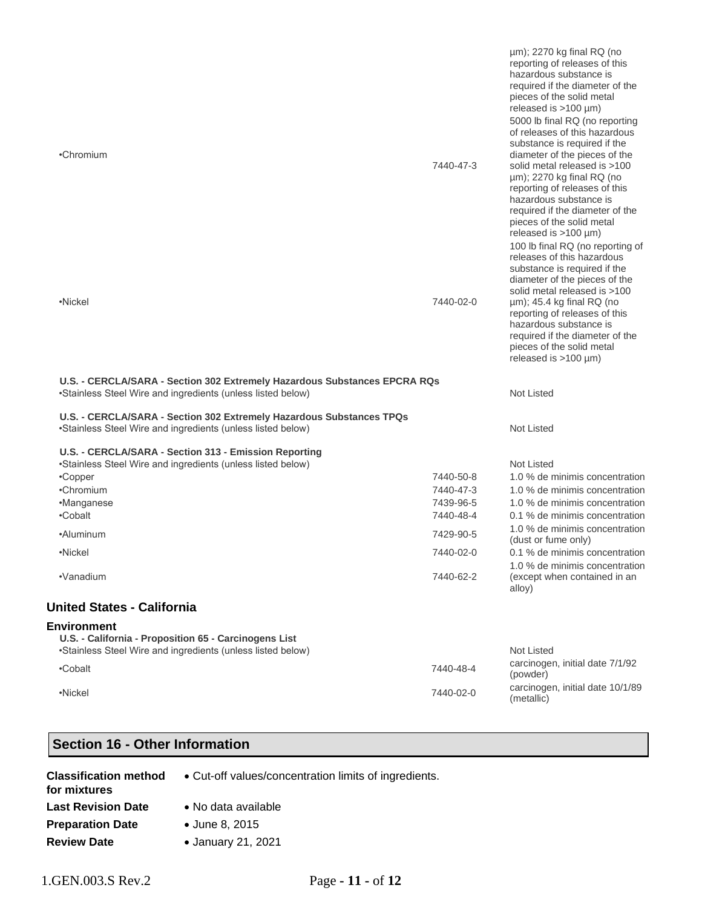|                                                                                                                                          |           | $\mu$ m); 2270 kg final RQ (no<br>reporting of releases of this<br>hazardous substance is<br>required if the diameter of the<br>pieces of the solid metal<br>released is $>100 \mu m$ )<br>5000 lb final RQ (no reporting<br>of releases of this hazardous<br>substance is required if the                                                                 |
|------------------------------------------------------------------------------------------------------------------------------------------|-----------|------------------------------------------------------------------------------------------------------------------------------------------------------------------------------------------------------------------------------------------------------------------------------------------------------------------------------------------------------------|
| •Chromium                                                                                                                                | 7440-47-3 | diameter of the pieces of the<br>solid metal released is >100<br>$\mu$ m); 2270 kg final RQ (no<br>reporting of releases of this<br>hazardous substance is<br>required if the diameter of the<br>pieces of the solid metal<br>released is $>100 \mu m$ )<br>100 lb final RQ (no reporting of<br>releases of this hazardous<br>substance is required if the |
| •Nickel                                                                                                                                  | 7440-02-0 | diameter of the pieces of the<br>solid metal released is >100<br>µm); 45.4 kg final RQ (no<br>reporting of releases of this<br>hazardous substance is<br>required if the diameter of the<br>pieces of the solid metal<br>released is $>100 \mu m$ )                                                                                                        |
| U.S. - CERCLA/SARA - Section 302 Extremely Hazardous Substances EPCRA RQs<br>•Stainless Steel Wire and ingredients (unless listed below) |           | Not Listed                                                                                                                                                                                                                                                                                                                                                 |
| U.S. - CERCLA/SARA - Section 302 Extremely Hazardous Substances TPQs<br>•Stainless Steel Wire and ingredients (unless listed below)      |           | Not Listed                                                                                                                                                                                                                                                                                                                                                 |
| U.S. - CERCLA/SARA - Section 313 - Emission Reporting<br>•Stainless Steel Wire and ingredients (unless listed below)                     |           | Not Listed                                                                                                                                                                                                                                                                                                                                                 |
| •Copper                                                                                                                                  | 7440-50-8 | 1.0 % de minimis concentration                                                                                                                                                                                                                                                                                                                             |
| •Chromium                                                                                                                                | 7440-47-3 | 1.0 % de minimis concentration                                                                                                                                                                                                                                                                                                                             |
| •Manganese                                                                                                                               | 7439-96-5 | 1.0 % de minimis concentration                                                                                                                                                                                                                                                                                                                             |
| •Cobalt                                                                                                                                  | 7440-48-4 | 0.1 % de minimis concentration                                                                                                                                                                                                                                                                                                                             |
| •Aluminum                                                                                                                                | 7429-90-5 | 1.0 % de minimis concentration<br>(dust or fume only)                                                                                                                                                                                                                                                                                                      |
| •Nickel                                                                                                                                  | 7440-02-0 | 0.1 % de minimis concentration<br>1.0 % de minimis concentration                                                                                                                                                                                                                                                                                           |
| •Vanadium                                                                                                                                | 7440-62-2 | (except when contained in an<br>alloy)                                                                                                                                                                                                                                                                                                                     |
| <b>United States - California</b>                                                                                                        |           |                                                                                                                                                                                                                                                                                                                                                            |
|                                                                                                                                          |           |                                                                                                                                                                                                                                                                                                                                                            |
|                                                                                                                                          |           |                                                                                                                                                                                                                                                                                                                                                            |
| <b>Environment</b><br>U.S. - California - Proposition 65 - Carcinogens List                                                              |           |                                                                                                                                                                                                                                                                                                                                                            |
| •Stainless Steel Wire and ingredients (unless listed below)                                                                              |           | <b>Not Listed</b>                                                                                                                                                                                                                                                                                                                                          |
| •Cobalt                                                                                                                                  | 7440-48-4 | carcinogen, initial date 7/1/92<br>(powder)                                                                                                                                                                                                                                                                                                                |
| •Nickel                                                                                                                                  | 7440-02-0 | carcinogen, initial date 10/1/89<br>(metallic)                                                                                                                                                                                                                                                                                                             |

# **Section 16 - Other Information**

| <b>Classification method</b><br>for mixtures | • Cut-off values/concentration limits of ingredients. |
|----------------------------------------------|-------------------------------------------------------|
| <b>Last Revision Date</b>                    | • No data available                                   |
| <b>Preparation Date</b>                      | • June 8, 2015                                        |
| <b>Review Date</b>                           | • January 21, 2021                                    |